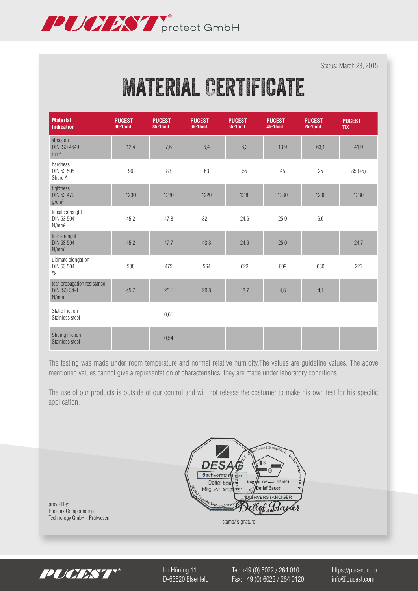

Status: March 23, 2015

# **MATERIAL CERTIFICATE**

| <b>Material</b><br><b>Indication</b>                       | <b>PUCEST</b><br>90-15mf | <b>PUCEST</b><br>85-15mf | <b>PUCEST</b><br>65-15mf | <b>PUCEST</b><br>55-15mf | <b>PUCEST</b><br>45-15mf | <b>PUCEST</b><br>$25-15$ mf | <b>PUCEST</b><br><b>TIX</b> |
|------------------------------------------------------------|--------------------------|--------------------------|--------------------------|--------------------------|--------------------------|-----------------------------|-----------------------------|
| abrasion<br><b>DIN ISO 4649</b><br>mm <sup>3</sup>         | 12,4                     | 7,6                      | 6,4                      | 6,3                      | 13,9                     | 63,1                        | 41,9                        |
| hardness<br>DIN 53 505<br>Shore A                          | 90                       | 83                       | 63                       | 55                       | 45                       | 25                          | 85(.15)                     |
| tightness<br>DIN 53 479<br>$g/dm^3$                        | 1230                     | 1230                     | 1220                     | 1230                     | 1230                     | 1230                        | 1230                        |
| tensile strenght<br>DIN 53 504<br>N/mm <sup>2</sup>        | 45,2                     | 47,8                     | 32,1                     | 24,6                     | 25,0                     | 6,6                         |                             |
| tear strenght<br>DIN 53 504<br>N/mm <sup>2</sup>           | 45,2                     | 47,7                     | 43,3                     | 24,6                     | 25,0                     |                             | 24,7                        |
| ultimate elongation<br>DIN 53 504<br>$\frac{0}{0}$         | 538                      | 475                      | 564                      | 623                      | 609                      | 630                         | 225                         |
| tear-propagation resistance<br><b>DIN ISO 34-1</b><br>N/mm | 45,7                     | 25,1                     | 20,8                     | 18,7                     | 4,6                      | 4,1                         |                             |
| Static friction<br>Stainless steel                         |                          | 0,61                     |                          |                          |                          |                             |                             |
| Sliding friction<br>Stainless steel                        |                          | 0,54                     |                          |                          |                          |                             |                             |

The testing was made under room temperature and normal relative humidity.The values are guideline values. The above mentioned values cannot give a representation of characteristics, they are made under laboratory conditions.

The use of our products is outside of our control and will not release the costumer to make his own test for his specific application.



proved by: Phoenix Compounding Technology GmbH - Prüfwesen stamp/ signature stamp/ signature



Im Höning 11 Tel: +49 (0) 6022 / 264 010 https://pucest.com D-63820 Elsenfeld Fax: +49 (0) 6022 / 264 0120 info@pucest.com